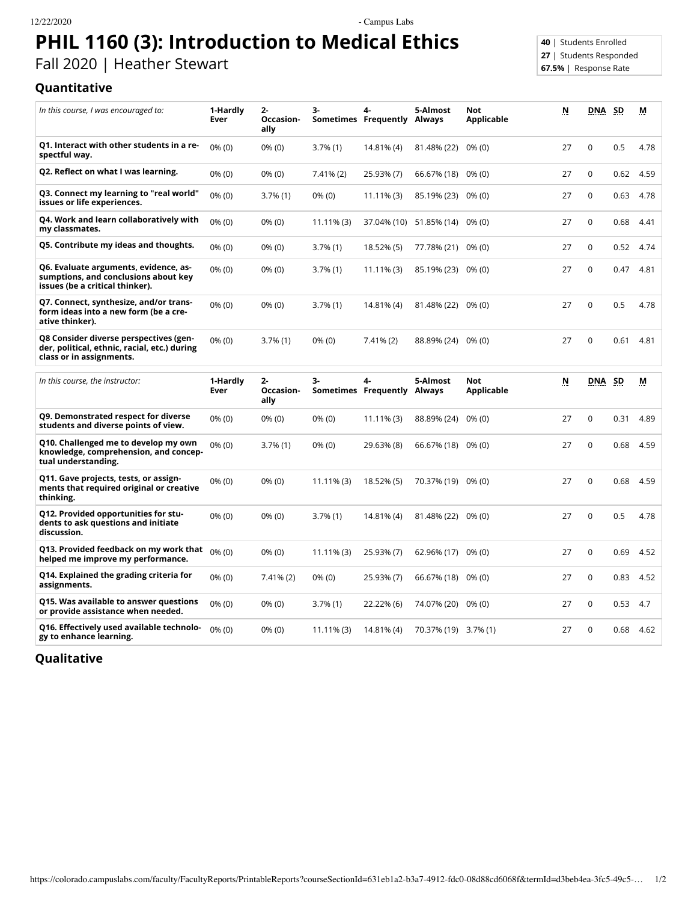12/22/2020 - Campus Labs

## **PHIL 1160 (3): Introduction to Medical Ethics**

Fall 2020 | Heather Stewart

## **40** | Students Enrolled **27** | Students Responded **67.5%** | Response Rate

## **Quantitative**

| In this course, I was encouraged to:                                                                               | 1-Hardly<br>Ever | $2 -$<br>Occasion-<br>ally | 3-            | 4-<br>Sometimes Frequently Always | 5-Almost                       | <b>Not</b><br>Applicable | N  | <b>DNA</b>  | <b>SD</b> | М         |
|--------------------------------------------------------------------------------------------------------------------|------------------|----------------------------|---------------|-----------------------------------|--------------------------------|--------------------------|----|-------------|-----------|-----------|
| Q1. Interact with other students in a re-<br>spectful way.                                                         | $0\%$ (0)        | $0\%$ (0)                  | $3.7\%$ (1)   | 14.81% (4)                        | 81.48% (22)                    | $0\%$ (0)                | 27 | $\mathbf 0$ | 0.5       | 4.78      |
| Q2. Reflect on what I was learning.                                                                                | $0\%$ (0)        | $0\%$ (0)                  | $7.41\%$ (2)  | 25.93% (7)                        | 66.67% (18) 0% (0)             |                          | 27 | 0           | 0.62      | 4.59      |
| Q3. Connect my learning to "real world"<br>issues or life experiences.                                             | $0\%$ (0)        | $3.7\%$ (1)                | $0\%$ (0)     | $11.11\%$ (3)                     | 85.19% (23) 0% (0)             |                          | 27 | 0           | 0.63      | 4.78      |
| Q4. Work and learn collaboratively with<br>my classmates.                                                          | $0\%$ (0)        | $0\%$ (0)                  | $11.11\%$ (3) |                                   | 37.04% (10) 51.85% (14) 0% (0) |                          | 27 | 0           | 0.68      | 4.41      |
| Q5. Contribute my ideas and thoughts.                                                                              | $0\%$ (0)        | $0\%$ (0)                  | $3.7\%$ (1)   | 18.52% (5)                        | 77.78% (21) 0% (0)             |                          | 27 | 0           |           | 0.52 4.74 |
| Q6. Evaluate arguments, evidence, as-<br>sumptions, and conclusions about key<br>issues (be a critical thinker).   | $0\%$ (0)        | $0\%$ (0)                  | $3.7\%$ (1)   | $11.11\%$ (3)                     | 85.19% (23) 0% (0)             |                          | 27 | 0           | 0.47      | 4.81      |
| Q7. Connect, synthesize, and/or trans-<br>form ideas into a new form (be a cre-<br>ative thinker).                 | $0\%$ (0)        | $0\%$ (0)                  | $3.7\%$ (1)   | 14.81% (4)                        | 81.48% (22)                    | $0\%$ (0)                | 27 | 0           | 0.5       | 4.78      |
| Q8 Consider diverse perspectives (gen-<br>der, political, ethnic, racial, etc.) during<br>class or in assignments. | $0\%$ (0)        | $3.7\%$ (1)                | $0\%$ (0)     | $7.41\%$ (2)                      | 88.89% (24)                    | $0\%$ (0)                | 27 | $\mathbf 0$ | 0.61      | 4.81      |
| In this course, the instructor:                                                                                    | 1-Hardly<br>Ever | $2 -$<br>Occasion-<br>ally | 3-            | 4-<br>Sometimes Frequently        | 5-Almost<br>Always             | Not<br>Applicable        | N  | <b>DNA</b>  | SD        | M         |
| Q9. Demonstrated respect for diverse<br>students and diverse points of view.                                       | $0\%$ (0)        | $0\%$ (0)                  | $0\%$ (0)     | $11.11\%$ (3)                     | 88.89% (24)                    | $0\%$ (0)                | 27 | 0           | 0.31      | 4.89      |
| Q10. Challenged me to develop my own<br>knowledge, comprehension, and concep-<br>tual understanding.               | $0\%$ (0)        | $3.7\%$ (1)                | $0\%$ (0)     | 29.63% (8)                        | 66.67% (18) 0% (0)             |                          | 27 | 0           | 0.68      | 4.59      |
| Q11. Gave projects, tests, or assign-<br>ments that required original or creative<br>thinking.                     | $0\%$ (0)        | $0\%$ (0)                  | $11.11\%$ (3) | 18.52% (5)                        | 70.37% (19) 0% (0)             |                          | 27 | $\Omega$    | 0.68      | 4.59      |
| Q12. Provided opportunities for stu-<br>dents to ask questions and initiate<br>discussion.                         | $0\%$ (0)        | $0\%$ (0)                  | $3.7\%$ (1)   | 14.81% (4)                        | 81.48% (22) 0% (0)             |                          | 27 | 0           | 0.5       | 4.78      |
| Q13. Provided feedback on my work that<br>helped me improve my performance.                                        | $0\%$ (0)        | $0\%$ (0)                  | $11.11\%$ (3) | 25.93% (7)                        | $62.96\%$ (17) $0\%$ (0)       |                          | 27 | $\Omega$    | 0.69      | 4.52      |

**assignments.** 0% (0) 7.41% (2) 0% (0) 25.93% (7) 66.67% (18) 0% (0) 27 0 0.83 4.52 **Q15. Was available to answer questions or provide assistance when needed.** 0% (0) 0% (0) 3.7% (1) 22.22% (6) 74.07% (20) 0% (0) 27 0 0.53 4.7 **Q16. Effectively used available technolo-**  $0\%$  (0) **gy to enhance learning.** 0% (0) 0% (0) 11.11% (3) 14.81% (4) 70.37% (19) 3.7% (1) 27 0 0.68 4.62

**Qualitative**

**Q14. Explained the grading criteria for**